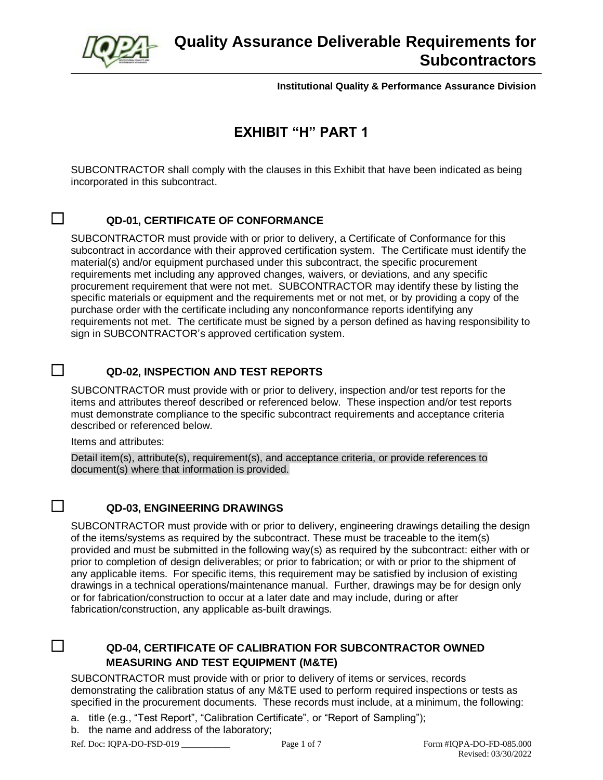

# **Quality Assurance Deliverable Requirements for Subcontractors**

**Institutional Quality & Performance Assurance Division**

# **EXHIBIT "H" PART 1**

SUBCONTRACTOR shall comply with the clauses in this Exhibit that have been indicated as being incorporated in this subcontract.

## ☐ **QD-01, CERTIFICATE OF CONFORMANCE**

SUBCONTRACTOR must provide with or prior to delivery, a Certificate of Conformance for this subcontract in accordance with their approved certification system. The Certificate must identify the material(s) and/or equipment purchased under this subcontract, the specific procurement requirements met including any approved changes, waivers, or deviations, and any specific procurement requirement that were not met. SUBCONTRACTOR may identify these by listing the specific materials or equipment and the requirements met or not met, or by providing a copy of the purchase order with the certificate including any nonconformance reports identifying any requirements not met. The certificate must be signed by a person defined as having responsibility to sign in SUBCONTRACTOR's approved certification system.

#### ☐ **QD-02, INSPECTION AND TEST REPORTS**

SUBCONTRACTOR must provide with or prior to delivery, inspection and/or test reports for the items and attributes thereof described or referenced below. These inspection and/or test reports must demonstrate compliance to the specific subcontract requirements and acceptance criteria described or referenced below.

Items and attributes:

Detail item(s), attribute(s), requirement(s), and acceptance criteria, or provide references to document(s) where that information is provided.

#### ☐ **QD-03, ENGINEERING DRAWINGS**

SUBCONTRACTOR must provide with or prior to delivery, engineering drawings detailing the design of the items/systems as required by the subcontract. These must be traceable to the item(s) provided and must be submitted in the following way(s) as required by the subcontract: either with or prior to completion of design deliverables; or prior to fabrication; or with or prior to the shipment of any applicable items. For specific items, this requirement may be satisfied by inclusion of existing drawings in a technical operations/maintenance manual. Further, drawings may be for design only or for fabrication/construction to occur at a later date and may include, during or after fabrication/construction, any applicable as-built drawings.

## ☐ **QD-04, CERTIFICATE OF CALIBRATION FOR SUBCONTRACTOR OWNED MEASURING AND TEST EQUIPMENT (M&TE)**

SUBCONTRACTOR must provide with or prior to delivery of items or services, records demonstrating the calibration status of any M&TE used to perform required inspections or tests as specified in the procurement documents. These records must include, at a minimum, the following:

- a. title (e.g., "Test Report", "Calibration Certificate", or "Report of Sampling");
- b. the name and address of the laboratory;

Ref. Doc: IQPA-DO-FSD-019 Page 1 of 7 Form #IQPA-DO-FD-085.000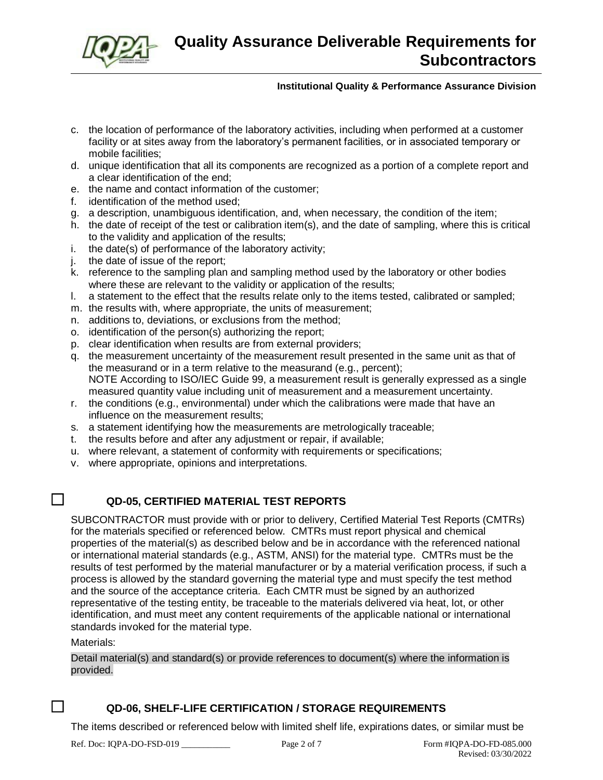

- c. the location of performance of the laboratory activities, including when performed at a customer facility or at sites away from the laboratory's permanent facilities, or in associated temporary or mobile facilities;
- d. unique identification that all its components are recognized as a portion of a complete report and a clear identification of the end;
- e. the name and contact information of the customer;
- f. identification of the method used;
- g. a description, unambiguous identification, and, when necessary, the condition of the item;
- h. the date of receipt of the test or calibration item(s), and the date of sampling, where this is critical to the validity and application of the results;
- i. the date(s) of performance of the laboratory activity;
- j. the date of issue of the report;
- k. reference to the sampling plan and sampling method used by the laboratory or other bodies where these are relevant to the validity or application of the results;
- l. a statement to the effect that the results relate only to the items tested, calibrated or sampled;
- m. the results with, where appropriate, the units of measurement;
- n. additions to, deviations, or exclusions from the method;
- o. identification of the person(s) authorizing the report;
- p. clear identification when results are from external providers;
- q. the measurement uncertainty of the measurement result presented in the same unit as that of the measurand or in a term relative to the measurand (e.g., percent); NOTE According to ISO/IEC Guide 99, a measurement result is generally expressed as a single measured quantity value including unit of measurement and a measurement uncertainty.
- r. the conditions (e.g., environmental) under which the calibrations were made that have an influence on the measurement results;
- s. a statement identifying how the measurements are metrologically traceable;
- t. the results before and after any adjustment or repair, if available;
- u. where relevant, a statement of conformity with requirements or specifications;
- v. where appropriate, opinions and interpretations.

## ☐ **QD-05, CERTIFIED MATERIAL TEST REPORTS**

SUBCONTRACTOR must provide with or prior to delivery, Certified Material Test Reports (CMTRs) for the materials specified or referenced below. CMTRs must report physical and chemical properties of the material(s) as described below and be in accordance with the referenced national or international material standards (e.g., ASTM, ANSI) for the material type. CMTRs must be the results of test performed by the material manufacturer or by a material verification process, if such a process is allowed by the standard governing the material type and must specify the test method and the source of the acceptance criteria. Each CMTR must be signed by an authorized representative of the testing entity, be traceable to the materials delivered via heat, lot, or other identification, and must meet any content requirements of the applicable national or international standards invoked for the material type.

Materials:

Detail material(s) and standard(s) or provide references to document(s) where the information is provided.

## ☐ **QD-06, SHELF-LIFE CERTIFICATION / STORAGE REQUIREMENTS**

The items described or referenced below with limited shelf life, expirations dates, or similar must be

Ref. Doc: IQPA-DO-FSD-019 Page 2 of 7 Form #IQPA-DO-FD-085.000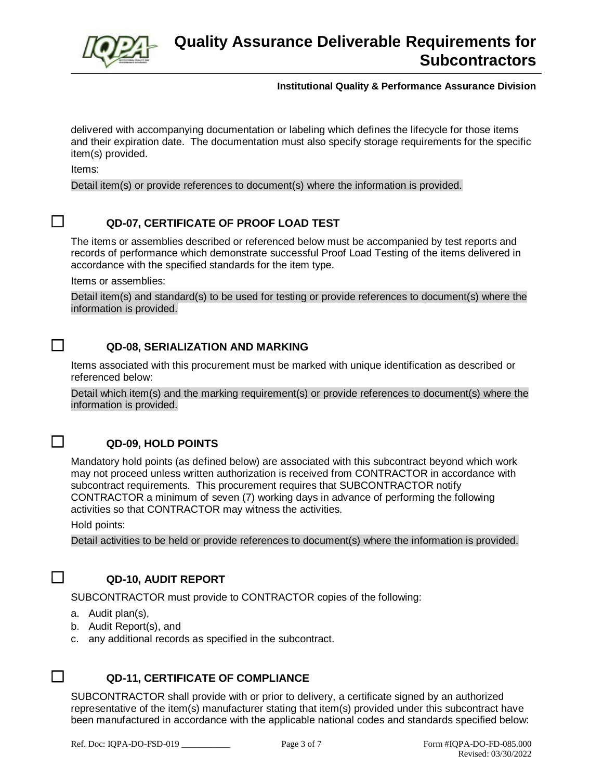

delivered with accompanying documentation or labeling which defines the lifecycle for those items and their expiration date. The documentation must also specify storage requirements for the specific item(s) provided.

Items:

Detail item(s) or provide references to document(s) where the information is provided.

#### ☐ **QD-07, CERTIFICATE OF PROOF LOAD TEST**

The items or assemblies described or referenced below must be accompanied by test reports and records of performance which demonstrate successful Proof Load Testing of the items delivered in accordance with the specified standards for the item type.

Items or assemblies:

Detail item(s) and standard(s) to be used for testing or provide references to document(s) where the information is provided.

#### ☐ **QD-08, SERIALIZATION AND MARKING**

Items associated with this procurement must be marked with unique identification as described or referenced below:

Detail which item(s) and the marking requirement(s) or provide references to document(s) where the information is provided.



## ☐ **QD-09, HOLD POINTS**

Mandatory hold points (as defined below) are associated with this subcontract beyond which work may not proceed unless written authorization is received from CONTRACTOR in accordance with subcontract requirements. This procurement requires that SUBCONTRACTOR notify CONTRACTOR a minimum of seven (7) working days in advance of performing the following activities so that CONTRACTOR may witness the activities.

Hold points:

Detail activities to be held or provide references to document(s) where the information is provided.



#### ☐ **QD-10, AUDIT REPORT**

SUBCONTRACTOR must provide to CONTRACTOR copies of the following:

- a. Audit plan(s),
- b. Audit Report(s), and
- c. any additional records as specified in the subcontract.



## ☐ **QD-11, CERTIFICATE OF COMPLIANCE**

SUBCONTRACTOR shall provide with or prior to delivery, a certificate signed by an authorized representative of the item(s) manufacturer stating that item(s) provided under this subcontract have been manufactured in accordance with the applicable national codes and standards specified below: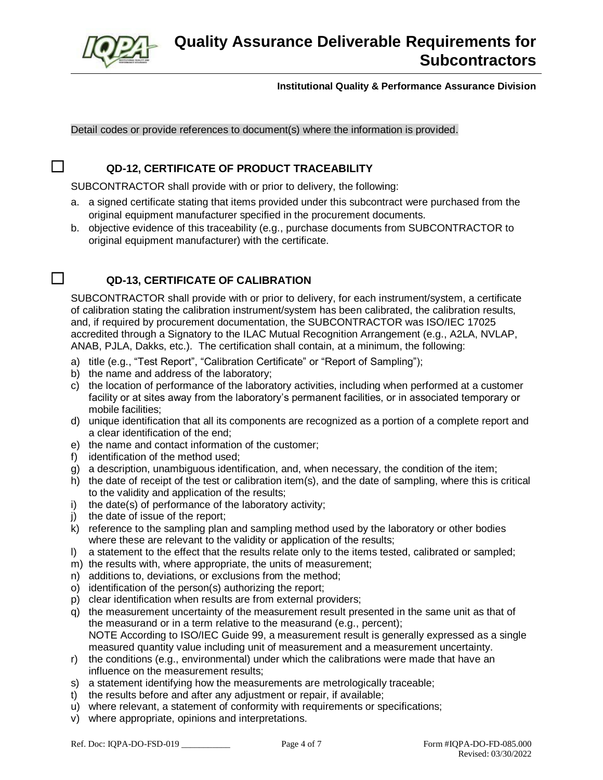

#### Detail codes or provide references to document(s) where the information is provided.

## ☐ **QD-12, CERTIFICATE OF PRODUCT TRACEABILITY**

SUBCONTRACTOR shall provide with or prior to delivery, the following:

- a. a signed certificate stating that items provided under this subcontract were purchased from the original equipment manufacturer specified in the procurement documents.
- b. objective evidence of this traceability (e.g., purchase documents from SUBCONTRACTOR to original equipment manufacturer) with the certificate.

## ☐ **QD-13, CERTIFICATE OF CALIBRATION**

SUBCONTRACTOR shall provide with or prior to delivery, for each instrument/system, a certificate of calibration stating the calibration instrument/system has been calibrated, the calibration results, and, if required by procurement documentation, the SUBCONTRACTOR was ISO/IEC 17025 accredited through a Signatory to the ILAC Mutual Recognition Arrangement (e.g., A2LA, NVLAP, ANAB, PJLA, Dakks, etc.). The certification shall contain, at a minimum, the following:

- a) title (e.g., "Test Report", "Calibration Certificate" or "Report of Sampling");
- b) the name and address of the laboratory;
- c) the location of performance of the laboratory activities, including when performed at a customer facility or at sites away from the laboratory's permanent facilities, or in associated temporary or mobile facilities;
- d) unique identification that all its components are recognized as a portion of a complete report and a clear identification of the end;
- e) the name and contact information of the customer;
- f) identification of the method used;
- g) a description, unambiguous identification, and, when necessary, the condition of the item;
- h) the date of receipt of the test or calibration item(s), and the date of sampling, where this is critical to the validity and application of the results;
- i) the date(s) of performance of the laboratory activity;
- j) the date of issue of the report;
- k) reference to the sampling plan and sampling method used by the laboratory or other bodies where these are relevant to the validity or application of the results;
- l) a statement to the effect that the results relate only to the items tested, calibrated or sampled;
- m) the results with, where appropriate, the units of measurement;
- n) additions to, deviations, or exclusions from the method;
- o) identification of the person(s) authorizing the report;
- p) clear identification when results are from external providers;
- q) the measurement uncertainty of the measurement result presented in the same unit as that of the measurand or in a term relative to the measurand (e.g., percent); NOTE According to ISO/IEC Guide 99, a measurement result is generally expressed as a single measured quantity value including unit of measurement and a measurement uncertainty.
- r) the conditions (e.g., environmental) under which the calibrations were made that have an influence on the measurement results;
- s) a statement identifying how the measurements are metrologically traceable;
- t) the results before and after any adjustment or repair, if available;
- u) where relevant, a statement of conformity with requirements or specifications;
- v) where appropriate, opinions and interpretations.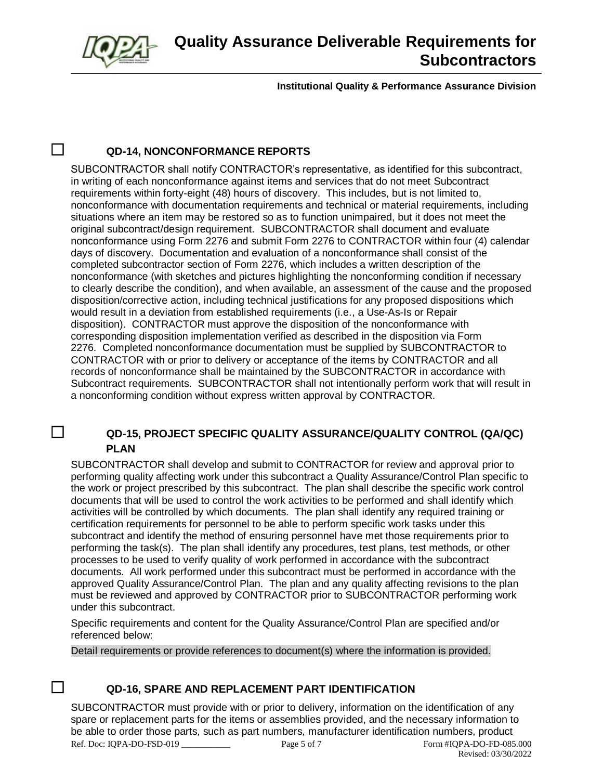

## ☐ **QD-14, NONCONFORMANCE REPORTS**

SUBCONTRACTOR shall notify CONTRACTOR's representative, as identified for this subcontract, in writing of each nonconformance against items and services that do not meet Subcontract requirements within forty-eight (48) hours of discovery. This includes, but is not limited to, nonconformance with documentation requirements and technical or material requirements, including situations where an item may be restored so as to function unimpaired, but it does not meet the original subcontract/design requirement. SUBCONTRACTOR shall document and evaluate nonconformance using Form 2276 and submit Form 2276 to CONTRACTOR within four (4) calendar days of discovery. Documentation and evaluation of a nonconformance shall consist of the completed subcontractor section of Form 2276, which includes a written description of the nonconformance (with sketches and pictures highlighting the nonconforming condition if necessary to clearly describe the condition), and when available, an assessment of the cause and the proposed disposition/corrective action, including technical justifications for any proposed dispositions which would result in a deviation from established requirements (i.e., a Use-As-Is or Repair disposition). CONTRACTOR must approve the disposition of the nonconformance with corresponding disposition implementation verified as described in the disposition via Form 2276. Completed nonconformance documentation must be supplied by SUBCONTRACTOR to CONTRACTOR with or prior to delivery or acceptance of the items by CONTRACTOR and all records of nonconformance shall be maintained by the SUBCONTRACTOR in accordance with Subcontract requirements. SUBCONTRACTOR shall not intentionally perform work that will result in a nonconforming condition without express written approval by CONTRACTOR.

## ☐ **QD-15, PROJECT SPECIFIC QUALITY ASSURANCE/QUALITY CONTROL (QA/QC) PLAN**

SUBCONTRACTOR shall develop and submit to CONTRACTOR for review and approval prior to performing quality affecting work under this subcontract a Quality Assurance/Control Plan specific to the work or project prescribed by this subcontract. The plan shall describe the specific work control documents that will be used to control the work activities to be performed and shall identify which activities will be controlled by which documents. The plan shall identify any required training or certification requirements for personnel to be able to perform specific work tasks under this subcontract and identify the method of ensuring personnel have met those requirements prior to performing the task(s). The plan shall identify any procedures, test plans, test methods, or other processes to be used to verify quality of work performed in accordance with the subcontract documents. All work performed under this subcontract must be performed in accordance with the approved Quality Assurance/Control Plan. The plan and any quality affecting revisions to the plan must be reviewed and approved by CONTRACTOR prior to SUBCONTRACTOR performing work under this subcontract.

Specific requirements and content for the Quality Assurance/Control Plan are specified and/or referenced below:

Detail requirements or provide references to document(s) where the information is provided.

# ☐ **QD-16, SPARE AND REPLACEMENT PART IDENTIFICATION**

Ref. Doc: IQPA-DO-FSD-019 Page 5 of 7 Form #IQPA-DO-FD-085.000 Revised: 03/30/2022 SUBCONTRACTOR must provide with or prior to delivery, information on the identification of any spare or replacement parts for the items or assemblies provided, and the necessary information to be able to order those parts, such as part numbers, manufacturer identification numbers, product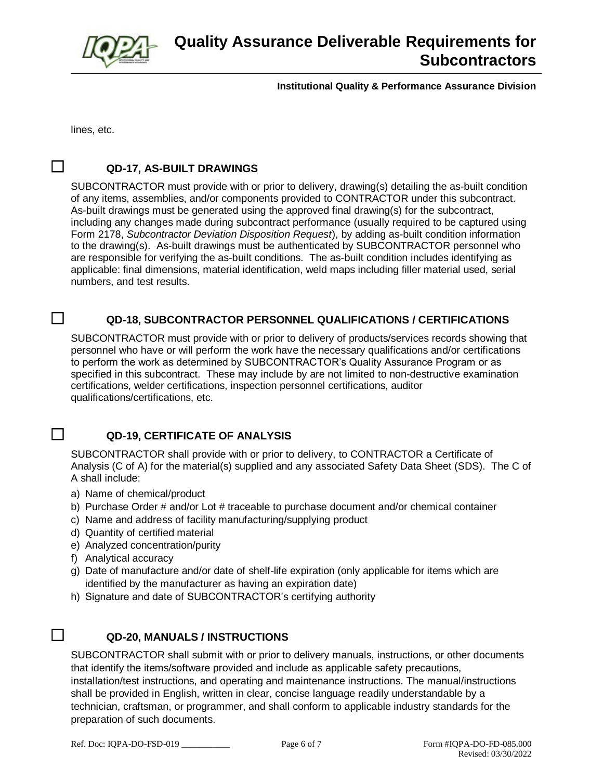

lines, etc.

#### ☐ **QD-17, AS-BUILT DRAWINGS**

SUBCONTRACTOR must provide with or prior to delivery, drawing(s) detailing the as-built condition of any items, assemblies, and/or components provided to CONTRACTOR under this subcontract. As-built drawings must be generated using the approved final drawing(s) for the subcontract, including any changes made during subcontract performance (usually required to be captured using Form 2178, *Subcontractor Deviation Disposition Request*), by adding as-built condition information to the drawing(s). As-built drawings must be authenticated by SUBCONTRACTOR personnel who are responsible for verifying the as-built conditions. The as-built condition includes identifying as applicable: final dimensions, material identification, weld maps including filler material used, serial numbers, and test results.

#### ☐ **QD-18, SUBCONTRACTOR PERSONNEL QUALIFICATIONS / CERTIFICATIONS**

SUBCONTRACTOR must provide with or prior to delivery of products/services records showing that personnel who have or will perform the work have the necessary qualifications and/or certifications to perform the work as determined by SUBCONTRACTOR's Quality Assurance Program or as specified in this subcontract. These may include by are not limited to non-destructive examination certifications, welder certifications, inspection personnel certifications, auditor qualifications/certifications, etc.

## ☐ **QD-19, CERTIFICATE OF ANALYSIS**

SUBCONTRACTOR shall provide with or prior to delivery, to CONTRACTOR a Certificate of Analysis (C of A) for the material(s) supplied and any associated Safety Data Sheet (SDS). The C of A shall include:

- a) Name of chemical/product
- b) Purchase Order # and/or Lot # traceable to purchase document and/or chemical container
- c) Name and address of facility manufacturing/supplying product
- d) Quantity of certified material
- e) Analyzed concentration/purity
- f) Analytical accuracy
- g) Date of manufacture and/or date of shelf-life expiration (only applicable for items which are identified by the manufacturer as having an expiration date)
- h) Signature and date of SUBCONTRACTOR's certifying authority

## ☐ **QD-20, MANUALS / INSTRUCTIONS**

SUBCONTRACTOR shall submit with or prior to delivery manuals, instructions, or other documents that identify the items/software provided and include as applicable safety precautions, installation/test instructions, and operating and maintenance instructions. The manual/instructions shall be provided in English, written in clear, concise language readily understandable by a technician, craftsman, or programmer, and shall conform to applicable industry standards for the preparation of such documents.